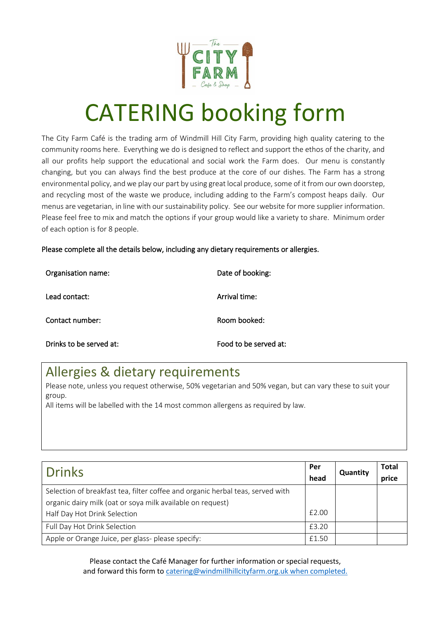

## CATERING booking form

The City Farm Café is the trading arm of Windmill Hill City Farm, providing high quality catering to the community rooms here. Everything we do is designed to reflect and support the ethos of the charity, and all our profits help support the educational and social work the Farm does. Our menu is constantly changing, but you can always find the best produce at the core of our dishes. The Farm has a strong environmental policy, and we play our part by using great local produce, some of it from our own doorstep, and recycling most of the waste we produce, including adding to the Farm's compost heaps daily. Our menus are vegetarian, in line with our sustainability policy. See our website for more supplier information. Please feel free to mix and match the options if your group would like a variety to share. Minimum order of each option is for 8 people.

Please complete all the details below, including any dietary requirements or allergies.

| Organisation name:      | Date of booking:      |
|-------------------------|-----------------------|
| Lead contact:           | Arrival time:         |
| Contact number:         | Room booked:          |
| Drinks to be served at: | Food to be served at: |

## Allergies & dietary requirements

Please note, unless you request otherwise, 50% vegetarian and 50% vegan, but can vary these to suit your group.

All items will be labelled with the 14 most common allergens as required by law.

| <b>Drinks</b>                                                                                                                                | Per<br>head | <b>Quantity</b> | Total<br>price |
|----------------------------------------------------------------------------------------------------------------------------------------------|-------------|-----------------|----------------|
| Selection of breakfast tea, filter coffee and organic herbal teas, served with<br>organic dairy milk (oat or soya milk available on request) |             |                 |                |
| Half Day Hot Drink Selection                                                                                                                 | £2.00       |                 |                |
| Full Day Hot Drink Selection                                                                                                                 | £3.20       |                 |                |
| Apple or Orange Juice, per glass- please specify:                                                                                            | f1.50       |                 |                |

Please contact the Café Manager for further information or special requests, and forward this form t[o catering@windmillhillcityfarm.org.uk](mailto:cafe@windmillhillcityfarm.org.uk) when completed.